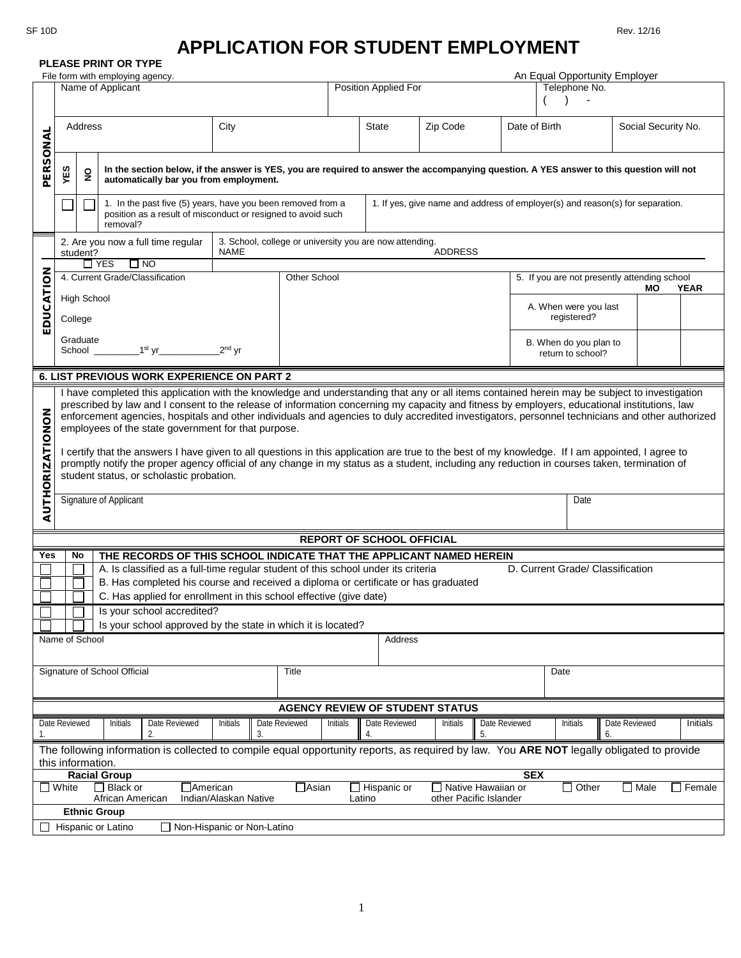## **APPLICATION FOR STUDENT EMPLOYMENT**

| <b>PLEASE PRINT OR TYPE</b>                                                                                                                                                                                                                                                         |                                                                                                                                                                                                                                                                                                                                                                                                                                                                                                                                                                                                                                                                                                                                                                                                                                                         |                                                                                                                                         |                                                   |                |               |                                                                                                                                          |                                  |          |                     |                                                                   |                                                |          |  |
|-------------------------------------------------------------------------------------------------------------------------------------------------------------------------------------------------------------------------------------------------------------------------------------|---------------------------------------------------------------------------------------------------------------------------------------------------------------------------------------------------------------------------------------------------------------------------------------------------------------------------------------------------------------------------------------------------------------------------------------------------------------------------------------------------------------------------------------------------------------------------------------------------------------------------------------------------------------------------------------------------------------------------------------------------------------------------------------------------------------------------------------------------------|-----------------------------------------------------------------------------------------------------------------------------------------|---------------------------------------------------|----------------|---------------|------------------------------------------------------------------------------------------------------------------------------------------|----------------------------------|----------|---------------------|-------------------------------------------------------------------|------------------------------------------------|----------|--|
| File form with employing agency.<br>Name of Applicant                                                                                                                                                                                                                               |                                                                                                                                                                                                                                                                                                                                                                                                                                                                                                                                                                                                                                                                                                                                                                                                                                                         |                                                                                                                                         |                                                   |                |               |                                                                                                                                          | Position Applied For             |          |                     |                                                                   | An Equal Opportunity Employer<br>Telephone No. |          |  |
|                                                                                                                                                                                                                                                                                     |                                                                                                                                                                                                                                                                                                                                                                                                                                                                                                                                                                                                                                                                                                                                                                                                                                                         |                                                                                                                                         |                                                   |                |               |                                                                                                                                          |                                  |          |                     |                                                                   |                                                |          |  |
| PERSONAL                                                                                                                                                                                                                                                                            | Address<br>City                                                                                                                                                                                                                                                                                                                                                                                                                                                                                                                                                                                                                                                                                                                                                                                                                                         |                                                                                                                                         |                                                   |                |               |                                                                                                                                          | <b>State</b>                     | Zip Code |                     | Date of Birth                                                     | Social Security No.                            |          |  |
|                                                                                                                                                                                                                                                                                     | YES                                                                                                                                                                                                                                                                                                                                                                                                                                                                                                                                                                                                                                                                                                                                                                                                                                                     | $\overline{2}$                                                                                                                          | automatically bar you from employment.            |                |               | In the section below, if the answer is YES, you are required to answer the accompanying question. A YES answer to this question will not |                                  |          |                     |                                                                   |                                                |          |  |
|                                                                                                                                                                                                                                                                                     |                                                                                                                                                                                                                                                                                                                                                                                                                                                                                                                                                                                                                                                                                                                                                                                                                                                         | 1. In the past five (5) years, have you been removed from a<br>position as a result of misconduct or resigned to avoid such<br>removal? |                                                   |                |               | 1. If yes, give name and address of employer(s) and reason(s) for separation.                                                            |                                  |          |                     |                                                                   |                                                |          |  |
|                                                                                                                                                                                                                                                                                     |                                                                                                                                                                                                                                                                                                                                                                                                                                                                                                                                                                                                                                                                                                                                                                                                                                                         | student?                                                                                                                                | 2. Are you now a full time regular                | <b>NAME</b>    |               | 3. School, college or university you are now attending.<br><b>ADDRESS</b>                                                                |                                  |          |                     |                                                                   |                                                |          |  |
|                                                                                                                                                                                                                                                                                     | $\Box$ YES<br>$\Box$ NO                                                                                                                                                                                                                                                                                                                                                                                                                                                                                                                                                                                                                                                                                                                                                                                                                                 |                                                                                                                                         |                                                   |                |               |                                                                                                                                          |                                  |          |                     |                                                                   |                                                |          |  |
|                                                                                                                                                                                                                                                                                     | 4. Current Grade/Classification                                                                                                                                                                                                                                                                                                                                                                                                                                                                                                                                                                                                                                                                                                                                                                                                                         |                                                                                                                                         |                                                   |                |               | Other School                                                                                                                             |                                  |          |                     | 5. If you are not presently attending school<br><b>YEAR</b><br>MО |                                                |          |  |
| EDUCATION                                                                                                                                                                                                                                                                           | <b>High School</b><br>College                                                                                                                                                                                                                                                                                                                                                                                                                                                                                                                                                                                                                                                                                                                                                                                                                           |                                                                                                                                         |                                                   |                |               |                                                                                                                                          |                                  |          |                     | A. When were you last<br>registered?                              |                                                |          |  |
|                                                                                                                                                                                                                                                                                     | Graduate<br>School $\frac{1}{1}$ $\frac{1}{1}$ $\frac{1}{1}$ $\frac{1}{1}$ $\frac{1}{1}$ $\frac{1}{1}$<br>$2nd$ yr                                                                                                                                                                                                                                                                                                                                                                                                                                                                                                                                                                                                                                                                                                                                      |                                                                                                                                         |                                                   |                |               | B. When do you plan to                                                                                                                   |                                  |          | return to school?   |                                                                   |                                                |          |  |
|                                                                                                                                                                                                                                                                                     |                                                                                                                                                                                                                                                                                                                                                                                                                                                                                                                                                                                                                                                                                                                                                                                                                                                         |                                                                                                                                         | <b>6. LIST PREVIOUS WORK EXPERIENCE ON PART 2</b> |                |               |                                                                                                                                          |                                  |          |                     |                                                                   |                                                |          |  |
| <b>AUTHORIZATIONON</b>                                                                                                                                                                                                                                                              | I have completed this application with the knowledge and understanding that any or all items contained herein may be subject to investigation<br>prescribed by law and I consent to the release of information concerning my capacity and fitness by employers, educational institutions, law<br>enforcement agencies, hospitals and other individuals and agencies to duly accredited investigators, personnel technicians and other authorized<br>employees of the state government for that purpose.<br>I certify that the answers I have given to all questions in this application are true to the best of my knowledge. If I am appointed, I agree to<br>promptly notify the proper agency official of any change in my status as a student, including any reduction in courses taken, termination of<br>student status, or scholastic probation. |                                                                                                                                         |                                                   |                |               |                                                                                                                                          |                                  |          |                     |                                                                   |                                                |          |  |
|                                                                                                                                                                                                                                                                                     | Signature of Applicant                                                                                                                                                                                                                                                                                                                                                                                                                                                                                                                                                                                                                                                                                                                                                                                                                                  |                                                                                                                                         |                                                   |                |               |                                                                                                                                          | Date                             |          |                     |                                                                   |                                                |          |  |
|                                                                                                                                                                                                                                                                                     |                                                                                                                                                                                                                                                                                                                                                                                                                                                                                                                                                                                                                                                                                                                                                                                                                                                         |                                                                                                                                         |                                                   |                |               |                                                                                                                                          | <b>REPORT OF SCHOOL OFFICIAL</b> |          |                     |                                                                   |                                                |          |  |
| Yes                                                                                                                                                                                                                                                                                 |                                                                                                                                                                                                                                                                                                                                                                                                                                                                                                                                                                                                                                                                                                                                                                                                                                                         | No                                                                                                                                      |                                                   |                |               |                                                                                                                                          |                                  |          |                     |                                                                   |                                                |          |  |
|                                                                                                                                                                                                                                                                                     | THE RECORDS OF THIS SCHOOL INDICATE THAT THE APPLICANT NAMED HEREIN<br>A. Is classified as a full-time regular student of this school under its criteria<br>D. Current Grade/ Classification<br>B. Has completed his course and received a diploma or certificate or has graduated<br>C. Has applied for enrollment in this school effective (give date)                                                                                                                                                                                                                                                                                                                                                                                                                                                                                                |                                                                                                                                         |                                                   |                |               |                                                                                                                                          |                                  |          |                     |                                                                   |                                                |          |  |
|                                                                                                                                                                                                                                                                                     |                                                                                                                                                                                                                                                                                                                                                                                                                                                                                                                                                                                                                                                                                                                                                                                                                                                         |                                                                                                                                         | Is your school accredited?                        |                |               |                                                                                                                                          |                                  |          |                     |                                                                   |                                                |          |  |
|                                                                                                                                                                                                                                                                                     | Is your school approved by the state in which it is located?                                                                                                                                                                                                                                                                                                                                                                                                                                                                                                                                                                                                                                                                                                                                                                                            |                                                                                                                                         |                                                   |                |               |                                                                                                                                          |                                  |          |                     |                                                                   |                                                |          |  |
|                                                                                                                                                                                                                                                                                     |                                                                                                                                                                                                                                                                                                                                                                                                                                                                                                                                                                                                                                                                                                                                                                                                                                                         | Name of School                                                                                                                          |                                                   |                |               |                                                                                                                                          | <b>Address</b>                   |          |                     |                                                                   |                                                |          |  |
| Signature of School Official<br><b>Title</b><br>Date                                                                                                                                                                                                                                |                                                                                                                                                                                                                                                                                                                                                                                                                                                                                                                                                                                                                                                                                                                                                                                                                                                         |                                                                                                                                         |                                                   |                |               |                                                                                                                                          |                                  |          |                     |                                                                   |                                                |          |  |
|                                                                                                                                                                                                                                                                                     | <b>AGENCY REVIEW OF STUDENT STATUS</b>                                                                                                                                                                                                                                                                                                                                                                                                                                                                                                                                                                                                                                                                                                                                                                                                                  |                                                                                                                                         |                                                   |                |               |                                                                                                                                          |                                  |          |                     |                                                                   |                                                |          |  |
| 1.                                                                                                                                                                                                                                                                                  | Date Reviewed                                                                                                                                                                                                                                                                                                                                                                                                                                                                                                                                                                                                                                                                                                                                                                                                                                           |                                                                                                                                         | Date Reviewed<br>Initials<br>2.                   | Initials<br>3. | Date Reviewed | Initials                                                                                                                                 | Date Reviewed<br>4.              | Initials | Date Reviewed<br>5. | Initials                                                          | Date Reviewed<br>6.                            | Initials |  |
| The following information is collected to compile equal opportunity reports, as required by law. You ARE NOT legally obligated to provide<br>this information.                                                                                                                      |                                                                                                                                                                                                                                                                                                                                                                                                                                                                                                                                                                                                                                                                                                                                                                                                                                                         |                                                                                                                                         |                                                   |                |               |                                                                                                                                          |                                  |          |                     |                                                                   |                                                |          |  |
| <b>SEX</b><br><b>Racial Group</b><br>$\Box$ Black or<br>□ Native Hawaiian or<br>$\Box$ White<br>⊤American<br>$\Box$ Asian<br>$\Box$ Hispanic or<br>$\Box$ Other<br>$\square$ Male<br>$\Box$ Female<br>Indian/Alaskan Native<br>African American<br>other Pacific Islander<br>Latino |                                                                                                                                                                                                                                                                                                                                                                                                                                                                                                                                                                                                                                                                                                                                                                                                                                                         |                                                                                                                                         |                                                   |                |               |                                                                                                                                          |                                  |          |                     |                                                                   |                                                |          |  |
|                                                                                                                                                                                                                                                                                     |                                                                                                                                                                                                                                                                                                                                                                                                                                                                                                                                                                                                                                                                                                                                                                                                                                                         |                                                                                                                                         | <b>Ethnic Group</b>                               |                |               |                                                                                                                                          |                                  |          |                     |                                                                   |                                                |          |  |
| Hispanic or Latino<br>□ Non-Hispanic or Non-Latino                                                                                                                                                                                                                                  |                                                                                                                                                                                                                                                                                                                                                                                                                                                                                                                                                                                                                                                                                                                                                                                                                                                         |                                                                                                                                         |                                                   |                |               |                                                                                                                                          |                                  |          |                     |                                                                   |                                                |          |  |